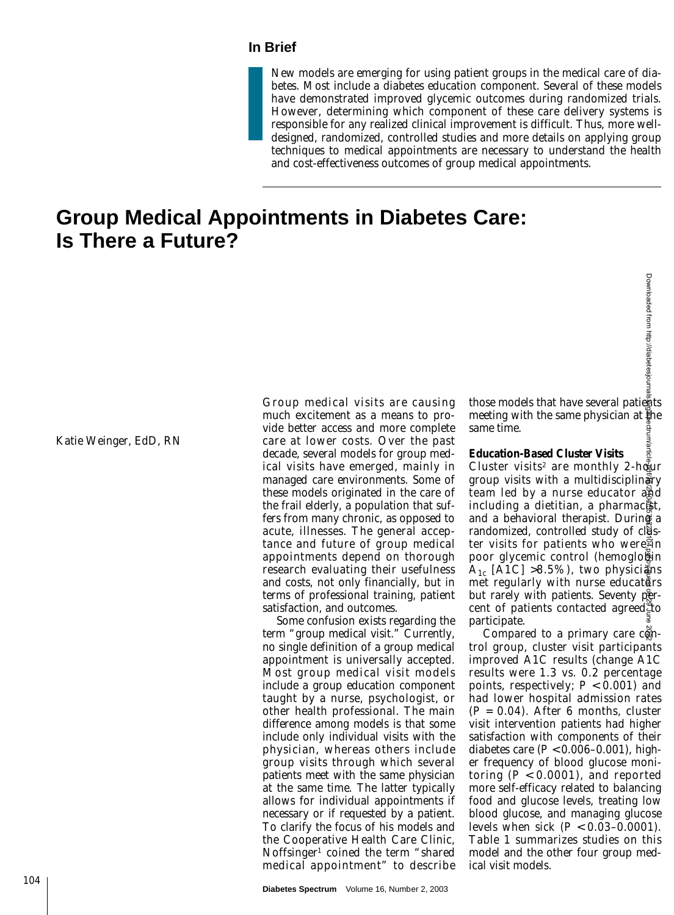#### **In Brief**

New models are emerging for using patient groups in the medical care of diabetes. Most include a diabetes education component. Several of these models have demonstrated improved glycemic outcomes during randomized trials. However, determining which component of these care delivery systems is responsible for any realized clinical improvement is difficult. Thus, more welldesigned, randomized, controlled studies and more details on applying group techniques to medical appointments are necessary to understand the health and cost-effectiveness outcomes of group medical appointments.

# **Group Medical Appointments in Diabetes Care: Is There a Future?**

Katie Weinger, EdD, RN

Group medical visits are causing much excitement as a means to provide better access and more complete care at lower costs. Over the past decade, several models for group medical visits have emerged, mainly in managed care environments. Some of these models originated in the care of the frail elderly, a population that suffers from many chronic, as opposed to acute, illnesses. The general acceptance and future of group medical appointments depend on thorough research evaluating their usefulness and costs, not only financially, but in terms of professional training, patient satisfaction, and outcomes.

Some confusion exists regarding the term "group medical visit." Currently, no single definition of a group medical appointment is universally accepted. Most group medical visit models include a group education component taught by a nurse, psychologist, or other health professional. The main difference among models is that some include only individual visits with the physician, whereas others include group visits through which several patients meet with the same physician at the same time. The latter typically allows for individual appointments if necessary or if requested by a patient. To clarify the focus of his models and the Cooperative Health Care Clinic, Noffsinger<sup>1</sup> coined the term "shared medical appointment" to describe

those models that have several patients meeting with the same physician at  $\ddot{\ddot{\xi}}$ he same time.

Downloaded from http://diabetesjourr

#### **Education-Based Cluster Visits**

Cluster visits<sup>2</sup> are monthly 2-hour group visits with a multidisciplinary team led by a nurse educator and including a dietitian, a pharmac**fs**t, and a behavioral therapist. During a randomized, controlled study of cluster visits for patients who weregin poor glycemic control (hemoglobin  $A_{1c}$  [A1C] >8.5%), two physicions met regularly with nurse educaters but rarely with patients. Seventy percent of patients contacted agreed to participate. Downloaded from http://diabetesjournals.org/spectrum/article-pdf/16/2/104/557872/0104.pdf by guest on 29 June 2022

Compared to a primary care  $c\ddot{\hat{\mathbf{g}}}$ ntrol group, cluster visit participants improved A1C results (change A1C results were 1.3 vs. 0.2 percentage points, respectively; *P* < 0.001) and had lower hospital admission rates  $(P = 0.04)$ . After 6 months, cluster visit intervention patients had higher satisfaction with components of their diabetes care (*P* < 0.006–0.001), higher frequency of blood glucose monitoring  $(P < 0.0001)$ , and reported more self-efficacy related to balancing food and glucose levels, treating low blood glucose, and managing glucose levels when sick (*P* < 0.03–0.0001). Table 1 summarizes studies on this model and the other four group medical visit models.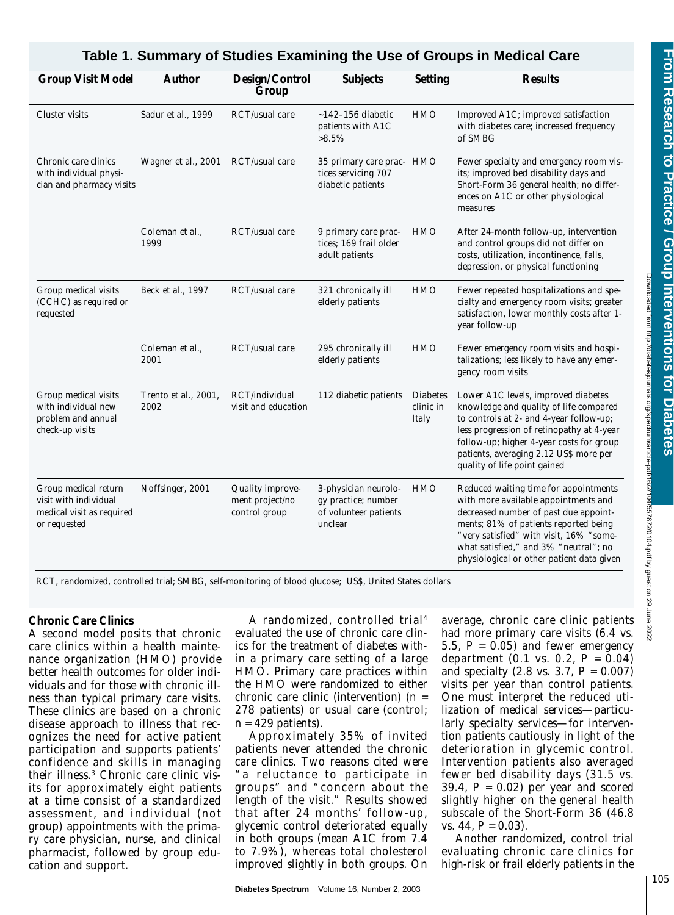| <b>Group Visit Model</b>                                                                   | <b>Author</b>                      | Design/Control<br>Group                              | <b>Subjects</b>                                                                 | <b>Setting</b>                        | <b>Results</b>                                                                                                                                                                                                                                                                                   |
|--------------------------------------------------------------------------------------------|------------------------------------|------------------------------------------------------|---------------------------------------------------------------------------------|---------------------------------------|--------------------------------------------------------------------------------------------------------------------------------------------------------------------------------------------------------------------------------------------------------------------------------------------------|
| <b>Cluster visits</b>                                                                      | Sadur et al., 1999                 | RCT/usual care                                       | $\sim$ 142–156 diabetic<br>patients with A1C<br>$>8.5\%$                        | <b>HMO</b>                            | Improved A1C; improved satisfaction<br>with diabetes care; increased frequency<br>of SMBG                                                                                                                                                                                                        |
| Chronic care clinics<br>with individual physi-<br>cian and pharmacy visits                 | Wagner et al., 2001 RCT/usual care |                                                      | 35 primary care prac- HMO<br>tices servicing 707<br>diabetic patients           |                                       | Fewer specialty and emergency room vis-<br>its; improved bed disability days and<br>Short-Form 36 general health; no differ-<br>ences on A1C or other physiological<br>measures                                                                                                                  |
|                                                                                            | Coleman et al.,<br>1999            | RCT/usual care                                       | 9 primary care prac-<br>tices: 169 frail older<br>adult patients                | HMO                                   | After 24-month follow-up, intervention<br>and control groups did not differ on<br>costs, utilization, incontinence, falls,<br>depression, or physical functioning                                                                                                                                |
| Group medical visits<br>(CCHC) as required or<br>requested                                 | Beck et al., 1997                  | RCT/usual care                                       | 321 chronically ill<br>elderly patients                                         | <b>HMO</b>                            | Fewer repeated hospitalizations and spe-<br>cialty and emergency room visits; greater<br>satisfaction, lower monthly costs after 1-<br>year follow-up                                                                                                                                            |
|                                                                                            | Coleman et al.,<br>2001            | RCT/usual care                                       | 295 chronically ill<br>elderly patients                                         | <b>HMO</b>                            | Fewer emergency room visits and hospi-<br>talizations; less likely to have any emer-<br>gency room visits                                                                                                                                                                                        |
| Group medical visits<br>with individual new<br>problem and annual<br>check-up visits       | Trento et al., 2001,<br>2002       | RCT/individual<br>visit and education                | 112 diabetic patients                                                           | <b>Diabetes</b><br>clinic in<br>Italy | Lower A1C levels, improved diabetes<br>knowledge and quality of life compared<br>to controls at 2- and 4-year follow-up;<br>less progression of retinopathy at 4-year<br>follow-up; higher 4-year costs for group<br>patients, averaging 2.12 US\$ more per<br>quality of life point gained      |
| Group medical return<br>visit with individual<br>medical visit as required<br>or requested | Noffsinger, 2001                   | Quality improve-<br>ment project/no<br>control group | 3-physician neurolo-<br>gy practice; number<br>of volunteer patients<br>unclear | <b>HMO</b>                            | Reduced waiting time for appointments<br>with more available appointments and<br>decreased number of past due appoint-<br>ments; 81% of patients reported being<br>"very satisfied" with visit, 16% "some-<br>what satisfied," and 3% "neutral"; no<br>physiological or other patient data given |

### **Table 1. Summary of Studies Examining the Use of Groups in Medical Care**

RCT, randomized, controlled trial; SMBG, self-monitoring of blood glucose; US\$, United States dollars

#### **Chronic Care Clinics**

A second model posits that chronic care clinics within a health maintenance organization (HMO) provide better health outcomes for older individuals and for those with chronic illness than typical primary care visits. These clinics are based on a chronic disease approach to illness that recognizes the need for active patient participation and supports patients' confidence and skills in managing their illness.3 Chronic care clinic visits for approximately eight patients at a time consist of a standardized assessment, and individual (not group) appointments with the primary care physician, nurse, and clinical pharmacist, followed by group education and support.

A randomized, controlled trial4 evaluated the use of chronic care clinics for the treatment of diabetes within a primary care setting of a large HMO. Primary care practices within the HMO were randomized to either chronic care clinic (intervention) (*n* = 278 patients) or usual care (control; *n* = 429 patients).

Approximately 35% of invited patients never attended the chronic care clinics. Two reasons cited were a reluctance to participate in groups" and "concern about the length of the visit." Results showed that after 24 months' follow-up, glycemic control deteriorated equally in both groups (mean A1C from 7.4 to 7.9%), whereas total cholesterol improved slightly in both groups. On average, chronic care clinic patients had more primary care visits (6.4 vs. 5.5,  $P = 0.05$  and fewer emergency department (0.1 vs. 0.2,  $P = 0.04$ ) and specialty (2.8 vs. 3.7, *P* = 0.007) visits per year than control patients. One must interpret the reduced utilization of medical services—particularly specialty services—for intervention patients cautiously in light of the deterioration in glycemic control. Intervention patients also averaged fewer bed disability days (31.5 vs. 39.4, *P* = 0.02) per year and scored slightly higher on the general health subscale of the Short-Form 36 (46.8 vs. 44,  $P = 0.03$ .

Another randomized, control trial evaluating chronic care clinics for high-risk or frail elderly patients in the Downloaded from http://diabetesjournals.org/spectrum/article-pdf/16/2/104/557872/0104.pdf by guest on 29 June Downloaded from http://diabetesjournals.org/spectrum/article-pdf/16/2/104/557872/0104.pdf by guest on 29 June 2022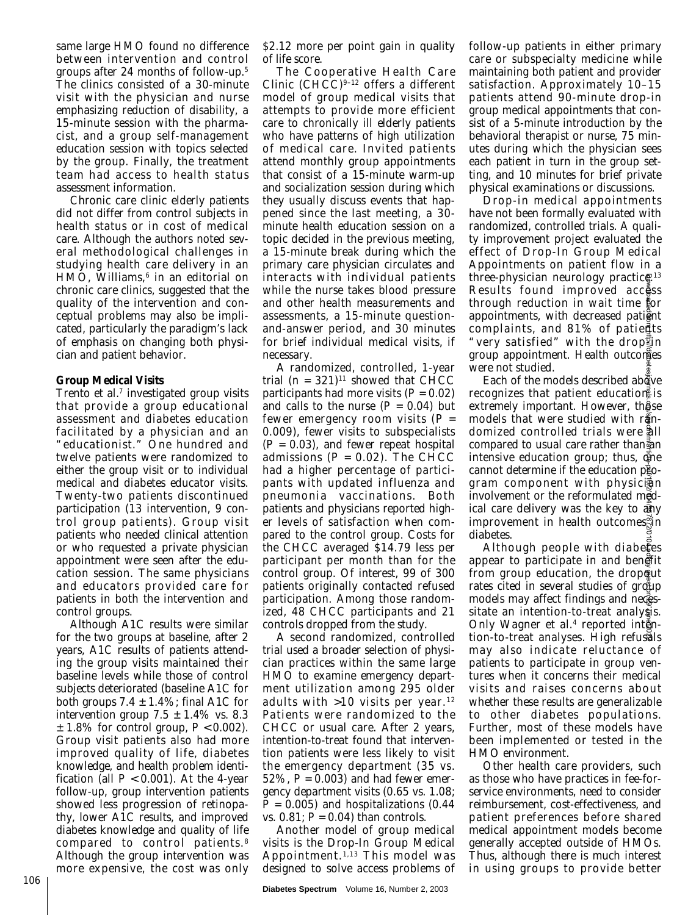same large HMO found no difference between intervention and control groups after 24 months of follow-up.5 The clinics consisted of a 30-minute visit with the physician and nurse emphasizing reduction of disability, a 15-minute session with the pharmacist, and a group self-management education session with topics selected by the group. Finally, the treatment team had access to health status assessment information.

Chronic care clinic elderly patients did not differ from control subjects in health status or in cost of medical care. Although the authors noted several methodological challenges in studying health care delivery in an HMO, Williams,<sup>6</sup> in an editorial on chronic care clinics, suggested that the quality of the intervention and conceptual problems may also be implicated, particularly the paradigm's lack of emphasis on changing both physician and patient behavior.

#### **Group Medical Visits**

Trento et al. $<sup>7</sup>$  investigated group visits</sup> that provide a group educational assessment and diabetes education facilitated by a physician and an "educationist." One hundred and twelve patients were randomized to either the group visit or to individual medical and diabetes educator visits. Twenty-two patients discontinued participation (13 intervention, 9 control group patients). Group visit patients who needed clinical attention or who requested a private physician appointment were seen after the education session. The same physicians and educators provided care for patients in both the intervention and control groups.

Although A1C results were similar for the two groups at baseline, after 2 years, A1C results of patients attending the group visits maintained their baseline levels while those of control subjects deteriorated (baseline A1C for both groups  $7.4 \pm 1.4\%$ ; final A1C for intervention group  $7.5 \pm 1.4\%$  vs. 8.3  $\pm$  1.8% for control group,  $P < 0.002$ ). Group visit patients also had more improved quality of life, diabetes knowledge, and health problem identification (all  $P < 0.001$ ). At the 4-year follow-up, group intervention patients showed less progression of retinopathy, lower A1C results, and improved diabetes knowledge and quality of life compared to control patients.8 Although the group intervention was more expensive, the cost was only

\$2.12 more per point gain in quality of life score.

The Cooperative Health Care Clinic  $(CHCC)^{9-12}$  offers a different model of group medical visits that attempts to provide more efficient care to chronically ill elderly patients who have patterns of high utilization of medical care. Invited patients attend monthly group appointments that consist of a 15-minute warm-up and socialization session during which they usually discuss events that happened since the last meeting, a 30 minute health education session on a topic decided in the previous meeting, a 15-minute break during which the primary care physician circulates and interacts with individual patients while the nurse takes blood pressure and other health measurements and assessments, a 15-minute questionand-answer period, and 30 minutes for brief individual medical visits, if necessary.

A randomized, controlled, 1-year trial  $(n = 321)^{11}$  showed that CHCC participants had more visits  $(P = 0.02)$ and calls to the nurse  $(P = 0.04)$  but fewer emergency room visits (*P* = 0.009), fewer visits to subspecialists  $(P = 0.03)$ , and fewer repeat hospital admissions  $(P = 0.02)$ . The CHCC had a higher percentage of participants with updated influenza and pneumonia vaccinations. Both patients and physicians reported higher levels of satisfaction when compared to the control group. Costs for the CHCC averaged \$14.79 less per participant per month than for the control group. Of interest, 99 of 300 patients originally contacted refused participation. Among those randomized, 48 CHCC participants and 21 controls dropped from the study.

A second randomized, controlled trial used a broader selection of physician practices within the same large HMO to examine emergency department utilization among 295 older adults with  $>10$  visits per year.<sup>12</sup> Patients were randomized to the CHCC or usual care. After 2 years, intention-to-treat found that intervention patients were less likely to visit the emergency department (35 vs. 52%, *P* = 0.003) and had fewer emergency department visits (0.65 vs. 1.08;  $P = 0.005$ ) and hospitalizations (0.44) vs. 0.81; *P* = 0.04) than controls.

Another model of group medical visits is the Drop-In Group Medical Appointment.<sup>1,13</sup> This model was designed to solve access problems of follow-up patients in either primary care or subspecialty medicine while maintaining both patient and provider satisfaction. Approximately 10–15 patients attend 90-minute drop-in group medical appointments that consist of a 5-minute introduction by the behavioral therapist or nurse, 75 minutes during which the physician sees each patient in turn in the group setting, and 10 minutes for brief private physical examinations or discussions.

Drop-in medical appointments have not been formally evaluated with randomized, controlled trials. A quality improvement project evaluated the effect of Drop-In Group Medical Appointments on patient flow in a three-physician neurology practic $\mathbb{R}^{13}$ Results found improved access through reduction in wait time for appointments, with decreased patient complaints, and  $81\%$  of patients "very satisfied" with the droptin group appointment. Health outcomes were not studied.

Each of the models described abgve recognizes that patient education is extremely important. However, thêse models that were studied with randomized controlled trials were all compared to usual care rather than an intensive education group; thus,  $\bar{\mathfrak{g}}$ ne cannot determine if the education  $p\ddot{\tilde{g}}o$ gram component with physician involvement or the reformulated medical care delivery was the key to  $\frac{d}{dx}$ improvement in health outcomes $\sin$ diabetes.

Although people with diabetes appear to participate in and benefit from group education, the dropout rates cited in several studies of group models may affect findings and necessitate an intention-to-treat analysis. Only Wagner et al.<sup>4</sup> reported intention-to-treat analyses. High refusals may also indicate reluctance of patients to participate in group ventures when it concerns their medical visits and raises concerns about whether these results are generalizable to other diabetes populations. Further, most of these models have been implemented or tested in the HMO environment. three-physician neurology practice<sup>18</sup><br>Results found improved accessor<br>divorghants, with decreased patient<br>complaints, and 81% of patients<br>"ivery satisfied" with the dropen<br>group appointment. Health outcomes<br>were not studi

Other health care providers, such as those who have practices in fee-forservice environments, need to consider reimbursement, cost-effectiveness, and patient preferences before shared medical appointment models become generally accepted outside of HMOs. Thus, although there is much interest<br>in using groups to provide better